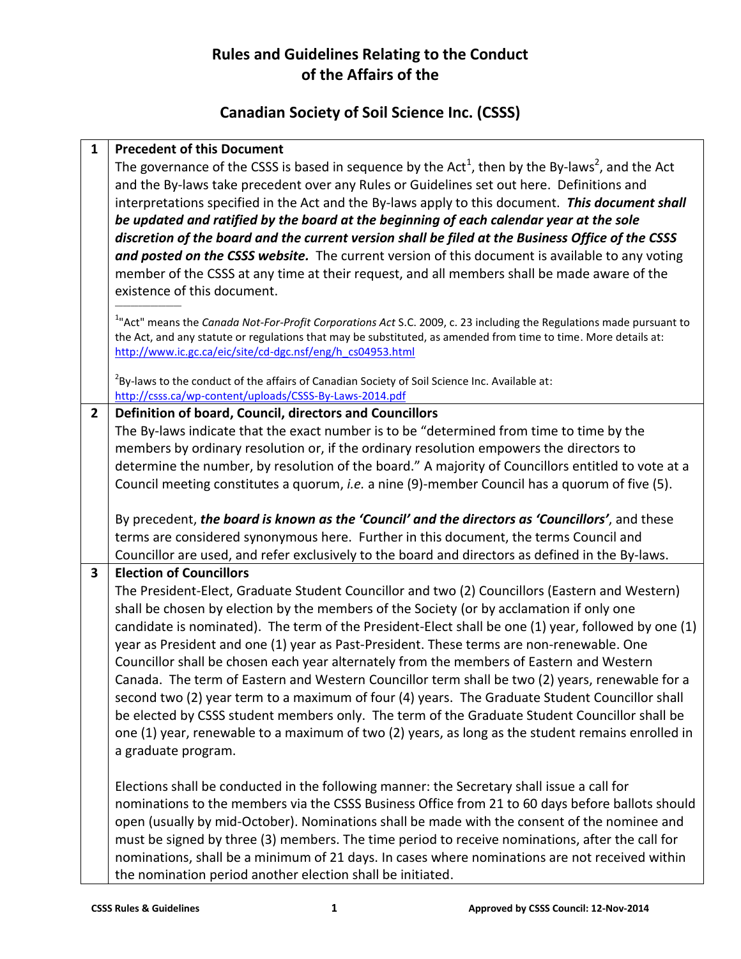# **Rules and Guidelines Relating to the Conduct of the Affairs of the**

# **Canadian Society of Soil Science Inc. (CSSS)**

| $\mathbf{1}$   | <b>Precedent of this Document</b>                                                                                               |
|----------------|---------------------------------------------------------------------------------------------------------------------------------|
|                | The governance of the CSSS is based in sequence by the Act <sup>1</sup> , then by the By-laws <sup>2</sup> , and the Act        |
|                | and the By-laws take precedent over any Rules or Guidelines set out here. Definitions and                                       |
|                | interpretations specified in the Act and the By-laws apply to this document. This document shall                                |
|                | be updated and ratified by the board at the beginning of each calendar year at the sole                                         |
|                | discretion of the board and the current version shall be filed at the Business Office of the CSSS                               |
|                | and posted on the CSSS website. The current version of this document is available to any voting                                 |
|                | member of the CSSS at any time at their request, and all members shall be made aware of the                                     |
|                | existence of this document.                                                                                                     |
|                | <sup>1</sup> "Act" means the Canada Not-For-Profit Corporations Act S.C. 2009, c. 23 including the Regulations made pursuant to |
|                | the Act, and any statute or regulations that may be substituted, as amended from time to time. More details at:                 |
|                | http://www.ic.gc.ca/eic/site/cd-dgc.nsf/eng/h cs04953.html                                                                      |
|                | $2$ By-laws to the conduct of the affairs of Canadian Society of Soil Science Inc. Available at:                                |
|                | http://csss.ca/wp-content/uploads/CSSS-By-Laws-2014.pdf                                                                         |
| $\overline{2}$ | Definition of board, Council, directors and Councillors                                                                         |
|                | The By-laws indicate that the exact number is to be "determined from time to time by the                                        |
|                | members by ordinary resolution or, if the ordinary resolution empowers the directors to                                         |
|                | determine the number, by resolution of the board." A majority of Councillors entitled to vote at a                              |
|                | Council meeting constitutes a quorum, i.e. a nine (9)-member Council has a quorum of five (5).                                  |
|                |                                                                                                                                 |
|                | By precedent, the board is known as the 'Council' and the directors as 'Councillors', and these                                 |
|                | terms are considered synonymous here. Further in this document, the terms Council and                                           |
|                | Councillor are used, and refer exclusively to the board and directors as defined in the By-laws.                                |
| 3              | <b>Election of Councillors</b>                                                                                                  |
|                | The President-Elect, Graduate Student Councillor and two (2) Councillors (Eastern and Western)                                  |
|                | shall be chosen by election by the members of the Society (or by acclamation if only one                                        |
|                | candidate is nominated). The term of the President-Elect shall be one (1) year, followed by one (1)                             |
|                | year as President and one (1) year as Past-President. These terms are non-renewable. One                                        |
|                | Councillor shall be chosen each year alternately from the members of Eastern and Western                                        |
|                | Canada. The term of Eastern and Western Councillor term shall be two (2) years, renewable for a                                 |
|                | second two (2) year term to a maximum of four (4) years. The Graduate Student Councillor shall                                  |
|                | be elected by CSSS student members only. The term of the Graduate Student Councillor shall be                                   |
|                | one (1) year, renewable to a maximum of two (2) years, as long as the student remains enrolled in                               |
|                | a graduate program.                                                                                                             |
|                | Elections shall be conducted in the following manner: the Secretary shall issue a call for                                      |
|                | nominations to the members via the CSSS Business Office from 21 to 60 days before ballots should                                |
|                | open (usually by mid-October). Nominations shall be made with the consent of the nominee and                                    |
|                | must be signed by three (3) members. The time period to receive nominations, after the call for                                 |
|                | nominations, shall be a minimum of 21 days. In cases where nominations are not received within                                  |
|                | the nomination period another election shall be initiated.                                                                      |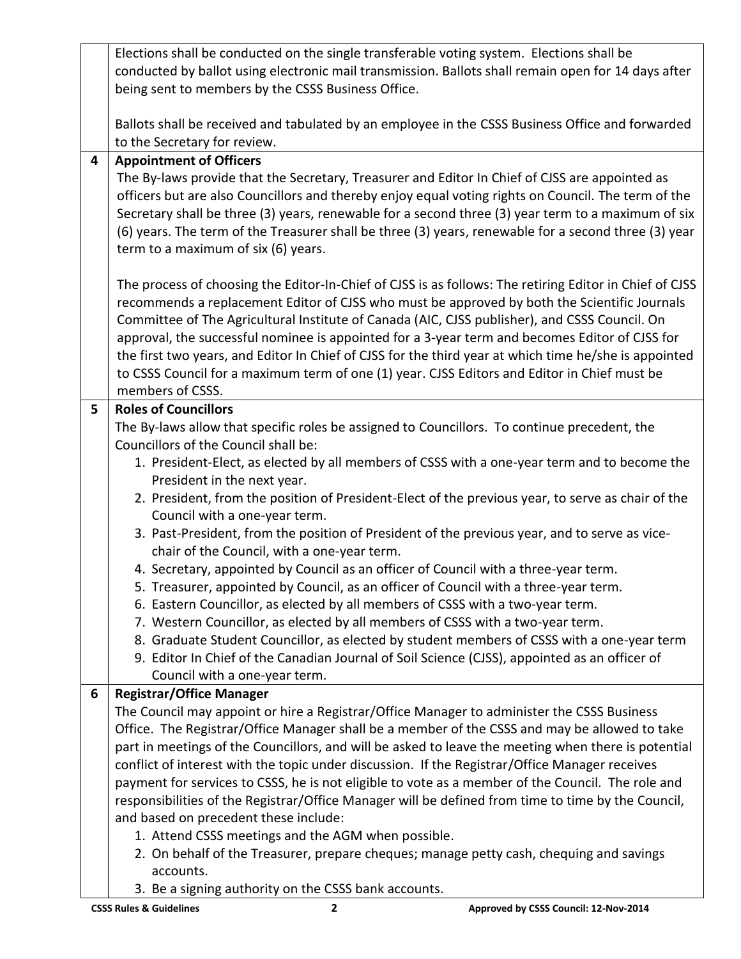|   | Elections shall be conducted on the single transferable voting system. Elections shall be               |
|---|---------------------------------------------------------------------------------------------------------|
|   | conducted by ballot using electronic mail transmission. Ballots shall remain open for 14 days after     |
|   | being sent to members by the CSSS Business Office.                                                      |
|   |                                                                                                         |
|   | Ballots shall be received and tabulated by an employee in the CSSS Business Office and forwarded        |
|   | to the Secretary for review.                                                                            |
| 4 | <b>Appointment of Officers</b>                                                                          |
|   | The By-laws provide that the Secretary, Treasurer and Editor In Chief of CJSS are appointed as          |
|   | officers but are also Councillors and thereby enjoy equal voting rights on Council. The term of the     |
|   | Secretary shall be three (3) years, renewable for a second three (3) year term to a maximum of six      |
|   | (6) years. The term of the Treasurer shall be three (3) years, renewable for a second three (3) year    |
|   | term to a maximum of six (6) years.                                                                     |
|   |                                                                                                         |
|   | The process of choosing the Editor-In-Chief of CJSS is as follows: The retiring Editor in Chief of CJSS |
|   | recommends a replacement Editor of CJSS who must be approved by both the Scientific Journals            |
|   | Committee of The Agricultural Institute of Canada (AIC, CJSS publisher), and CSSS Council. On           |
|   | approval, the successful nominee is appointed for a 3-year term and becomes Editor of CJSS for          |
|   | the first two years, and Editor In Chief of CJSS for the third year at which time he/she is appointed   |
|   | to CSSS Council for a maximum term of one (1) year. CJSS Editors and Editor in Chief must be            |
|   | members of CSSS.                                                                                        |
| 5 | <b>Roles of Councillors</b>                                                                             |
|   | The By-laws allow that specific roles be assigned to Councillors. To continue precedent, the            |
|   | Councillors of the Council shall be:                                                                    |
|   | 1. President-Elect, as elected by all members of CSSS with a one-year term and to become the            |
|   | President in the next year.                                                                             |
|   | 2. President, from the position of President-Elect of the previous year, to serve as chair of the       |
|   | Council with a one-year term.                                                                           |
|   | 3. Past-President, from the position of President of the previous year, and to serve as vice-           |
|   | chair of the Council, with a one-year term.                                                             |
|   | 4. Secretary, appointed by Council as an officer of Council with a three-year term.                     |
|   | 5. Treasurer, appointed by Council, as an officer of Council with a three-year term.                    |
|   | 6. Eastern Councillor, as elected by all members of CSSS with a two-year term.                          |
|   | 7. Western Councillor, as elected by all members of CSSS with a two-year term.                          |
|   | 8. Graduate Student Councillor, as elected by student members of CSSS with a one-year term              |
|   | 9. Editor In Chief of the Canadian Journal of Soil Science (CJSS), appointed as an officer of           |
|   | Council with a one-year term.                                                                           |
| 6 | <b>Registrar/Office Manager</b>                                                                         |
|   | The Council may appoint or hire a Registrar/Office Manager to administer the CSSS Business              |
|   | Office. The Registrar/Office Manager shall be a member of the CSSS and may be allowed to take           |
|   | part in meetings of the Councillors, and will be asked to leave the meeting when there is potential     |
|   | conflict of interest with the topic under discussion. If the Registrar/Office Manager receives          |
|   | payment for services to CSSS, he is not eligible to vote as a member of the Council. The role and       |
|   | responsibilities of the Registrar/Office Manager will be defined from time to time by the Council,      |
|   | and based on precedent these include:                                                                   |
|   | 1. Attend CSSS meetings and the AGM when possible.                                                      |
|   | 2. On behalf of the Treasurer, prepare cheques; manage petty cash, chequing and savings                 |
|   | accounts.                                                                                               |
|   | 3. Be a signing authority on the CSSS bank accounts.                                                    |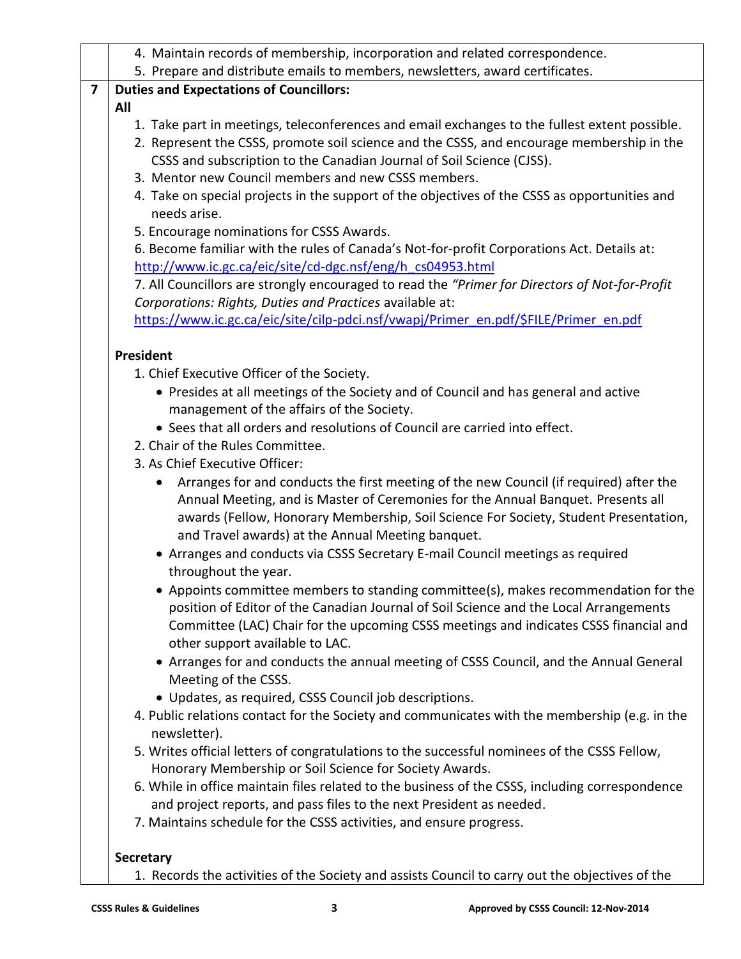| 5. Prepare and distribute emails to members, newsletters, award certificates.<br><b>Duties and Expectations of Councillors:</b><br>7<br>All<br>1. Take part in meetings, teleconferences and email exchanges to the fullest extent possible.<br>2. Represent the CSSS, promote soil science and the CSSS, and encourage membership in the<br>CSSS and subscription to the Canadian Journal of Soil Science (CJSS).<br>3. Mentor new Council members and new CSSS members.<br>4. Take on special projects in the support of the objectives of the CSSS as opportunities and<br>needs arise.<br>5. Encourage nominations for CSSS Awards.<br>6. Become familiar with the rules of Canada's Not-for-profit Corporations Act. Details at:<br>http://www.ic.gc.ca/eic/site/cd-dgc.nsf/eng/h cs04953.html<br>7. All Councillors are strongly encouraged to read the "Primer for Directors of Not-for-Profit<br>Corporations: Rights, Duties and Practices available at:<br>https://www.ic.gc.ca/eic/site/cilp-pdci.nsf/vwapj/Primer_en.pdf/\$FILE/Primer_en.pdf<br>President<br>1. Chief Executive Officer of the Society. |
|----------------------------------------------------------------------------------------------------------------------------------------------------------------------------------------------------------------------------------------------------------------------------------------------------------------------------------------------------------------------------------------------------------------------------------------------------------------------------------------------------------------------------------------------------------------------------------------------------------------------------------------------------------------------------------------------------------------------------------------------------------------------------------------------------------------------------------------------------------------------------------------------------------------------------------------------------------------------------------------------------------------------------------------------------------------------------------------------------------------------|
|                                                                                                                                                                                                                                                                                                                                                                                                                                                                                                                                                                                                                                                                                                                                                                                                                                                                                                                                                                                                                                                                                                                      |
|                                                                                                                                                                                                                                                                                                                                                                                                                                                                                                                                                                                                                                                                                                                                                                                                                                                                                                                                                                                                                                                                                                                      |
|                                                                                                                                                                                                                                                                                                                                                                                                                                                                                                                                                                                                                                                                                                                                                                                                                                                                                                                                                                                                                                                                                                                      |
|                                                                                                                                                                                                                                                                                                                                                                                                                                                                                                                                                                                                                                                                                                                                                                                                                                                                                                                                                                                                                                                                                                                      |
|                                                                                                                                                                                                                                                                                                                                                                                                                                                                                                                                                                                                                                                                                                                                                                                                                                                                                                                                                                                                                                                                                                                      |
|                                                                                                                                                                                                                                                                                                                                                                                                                                                                                                                                                                                                                                                                                                                                                                                                                                                                                                                                                                                                                                                                                                                      |
|                                                                                                                                                                                                                                                                                                                                                                                                                                                                                                                                                                                                                                                                                                                                                                                                                                                                                                                                                                                                                                                                                                                      |
|                                                                                                                                                                                                                                                                                                                                                                                                                                                                                                                                                                                                                                                                                                                                                                                                                                                                                                                                                                                                                                                                                                                      |
|                                                                                                                                                                                                                                                                                                                                                                                                                                                                                                                                                                                                                                                                                                                                                                                                                                                                                                                                                                                                                                                                                                                      |
|                                                                                                                                                                                                                                                                                                                                                                                                                                                                                                                                                                                                                                                                                                                                                                                                                                                                                                                                                                                                                                                                                                                      |
|                                                                                                                                                                                                                                                                                                                                                                                                                                                                                                                                                                                                                                                                                                                                                                                                                                                                                                                                                                                                                                                                                                                      |
|                                                                                                                                                                                                                                                                                                                                                                                                                                                                                                                                                                                                                                                                                                                                                                                                                                                                                                                                                                                                                                                                                                                      |
|                                                                                                                                                                                                                                                                                                                                                                                                                                                                                                                                                                                                                                                                                                                                                                                                                                                                                                                                                                                                                                                                                                                      |
|                                                                                                                                                                                                                                                                                                                                                                                                                                                                                                                                                                                                                                                                                                                                                                                                                                                                                                                                                                                                                                                                                                                      |
|                                                                                                                                                                                                                                                                                                                                                                                                                                                                                                                                                                                                                                                                                                                                                                                                                                                                                                                                                                                                                                                                                                                      |
|                                                                                                                                                                                                                                                                                                                                                                                                                                                                                                                                                                                                                                                                                                                                                                                                                                                                                                                                                                                                                                                                                                                      |
| • Presides at all meetings of the Society and of Council and has general and active                                                                                                                                                                                                                                                                                                                                                                                                                                                                                                                                                                                                                                                                                                                                                                                                                                                                                                                                                                                                                                  |
| management of the affairs of the Society.                                                                                                                                                                                                                                                                                                                                                                                                                                                                                                                                                                                                                                                                                                                                                                                                                                                                                                                                                                                                                                                                            |
| • Sees that all orders and resolutions of Council are carried into effect.                                                                                                                                                                                                                                                                                                                                                                                                                                                                                                                                                                                                                                                                                                                                                                                                                                                                                                                                                                                                                                           |
| 2. Chair of the Rules Committee.                                                                                                                                                                                                                                                                                                                                                                                                                                                                                                                                                                                                                                                                                                                                                                                                                                                                                                                                                                                                                                                                                     |
| 3. As Chief Executive Officer:                                                                                                                                                                                                                                                                                                                                                                                                                                                                                                                                                                                                                                                                                                                                                                                                                                                                                                                                                                                                                                                                                       |
| Arranges for and conducts the first meeting of the new Council (if required) after the<br>Annual Meeting, and is Master of Ceremonies for the Annual Banquet. Presents all<br>awards (Fellow, Honorary Membership, Soil Science For Society, Student Presentation,<br>and Travel awards) at the Annual Meeting banquet.                                                                                                                                                                                                                                                                                                                                                                                                                                                                                                                                                                                                                                                                                                                                                                                              |
| • Arranges and conducts via CSSS Secretary E-mail Council meetings as required<br>throughout the year.                                                                                                                                                                                                                                                                                                                                                                                                                                                                                                                                                                                                                                                                                                                                                                                                                                                                                                                                                                                                               |
| • Appoints committee members to standing committee(s), makes recommendation for the<br>position of Editor of the Canadian Journal of Soil Science and the Local Arrangements<br>Committee (LAC) Chair for the upcoming CSSS meetings and indicates CSSS financial and<br>other support available to LAC.                                                                                                                                                                                                                                                                                                                                                                                                                                                                                                                                                                                                                                                                                                                                                                                                             |
| • Arranges for and conducts the annual meeting of CSSS Council, and the Annual General<br>Meeting of the CSSS.<br>• Updates, as required, CSSS Council job descriptions.                                                                                                                                                                                                                                                                                                                                                                                                                                                                                                                                                                                                                                                                                                                                                                                                                                                                                                                                             |
| 4. Public relations contact for the Society and communicates with the membership (e.g. in the<br>newsletter).                                                                                                                                                                                                                                                                                                                                                                                                                                                                                                                                                                                                                                                                                                                                                                                                                                                                                                                                                                                                        |
| 5. Writes official letters of congratulations to the successful nominees of the CSSS Fellow,<br>Honorary Membership or Soil Science for Society Awards.                                                                                                                                                                                                                                                                                                                                                                                                                                                                                                                                                                                                                                                                                                                                                                                                                                                                                                                                                              |
| 6. While in office maintain files related to the business of the CSSS, including correspondence<br>and project reports, and pass files to the next President as needed.                                                                                                                                                                                                                                                                                                                                                                                                                                                                                                                                                                                                                                                                                                                                                                                                                                                                                                                                              |
| 7. Maintains schedule for the CSSS activities, and ensure progress.                                                                                                                                                                                                                                                                                                                                                                                                                                                                                                                                                                                                                                                                                                                                                                                                                                                                                                                                                                                                                                                  |

1. Records the activities of the Society and assists Council to carry out the objectives of the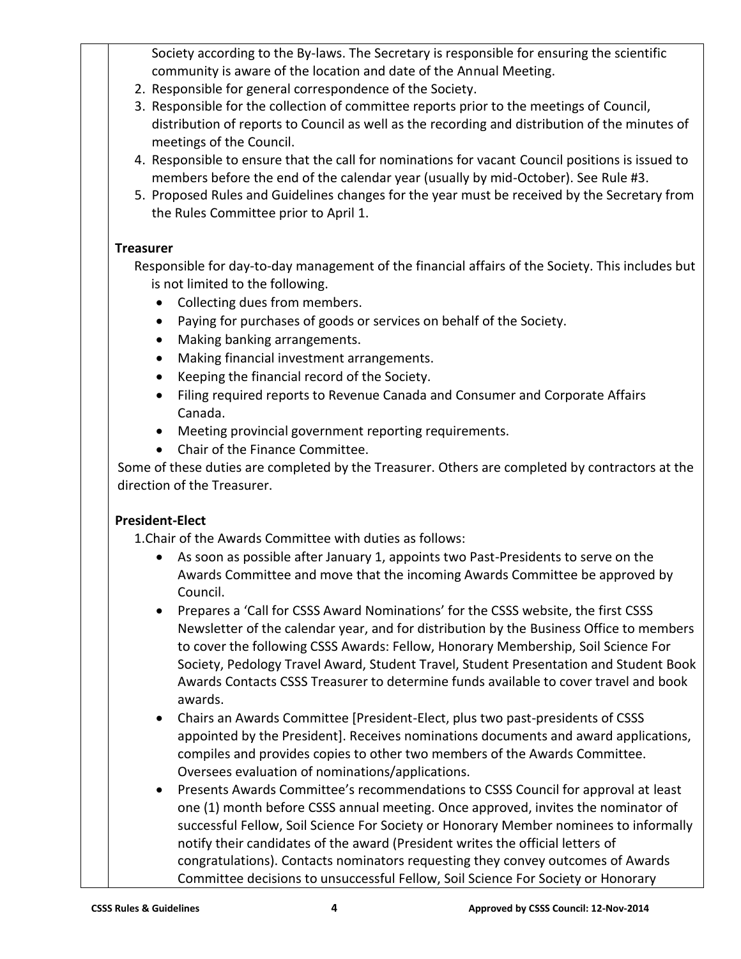Society according to the By-laws. The Secretary is responsible for ensuring the scientific community is aware of the location and date of the Annual Meeting.

- 2. Responsible for general correspondence of the Society.
- 3. Responsible for the collection of committee reports prior to the meetings of Council, distribution of reports to Council as well as the recording and distribution of the minutes of meetings of the Council.
- 4. Responsible to ensure that the call for nominations for vacant Council positions is issued to members before the end of the calendar year (usually by mid-October). See Rule #3.
- 5. Proposed Rules and Guidelines changes for the year must be received by the Secretary from the Rules Committee prior to April 1.

#### **Treasurer**

Responsible for day-to-day management of the financial affairs of the Society. This includes but is not limited to the following.

- Collecting dues from members.
- Paying for purchases of goods or services on behalf of the Society.
- Making banking arrangements.
- Making financial investment arrangements.
- Keeping the financial record of the Society.
- Filing required reports to Revenue Canada and Consumer and Corporate Affairs Canada.
- Meeting provincial government reporting requirements.
- Chair of the Finance Committee.

Some of these duties are completed by the Treasurer. Others are completed by contractors at the direction of the Treasurer.

# **President-Elect**

1.Chair of the Awards Committee with duties as follows:

- As soon as possible after January 1, appoints two Past-Presidents to serve on the Awards Committee and move that the incoming Awards Committee be approved by Council.
- Prepares a 'Call for CSSS Award Nominations' for the CSSS website, the first CSSS Newsletter of the calendar year, and for distribution by the Business Office to members to cover the following CSSS Awards: Fellow, Honorary Membership, Soil Science For Society, Pedology Travel Award, Student Travel, Student Presentation and Student Book Awards Contacts CSSS Treasurer to determine funds available to cover travel and book awards.
- Chairs an Awards Committee [President-Elect, plus two past-presidents of CSSS appointed by the President]. Receives nominations documents and award applications, compiles and provides copies to other two members of the Awards Committee. Oversees evaluation of nominations/applications.
- Presents Awards Committee's recommendations to CSSS Council for approval at least one (1) month before CSSS annual meeting. Once approved, invites the nominator of successful Fellow, Soil Science For Society or Honorary Member nominees to informally notify their candidates of the award (President writes the official letters of congratulations). Contacts nominators requesting they convey outcomes of Awards Committee decisions to unsuccessful Fellow, Soil Science For Society or Honorary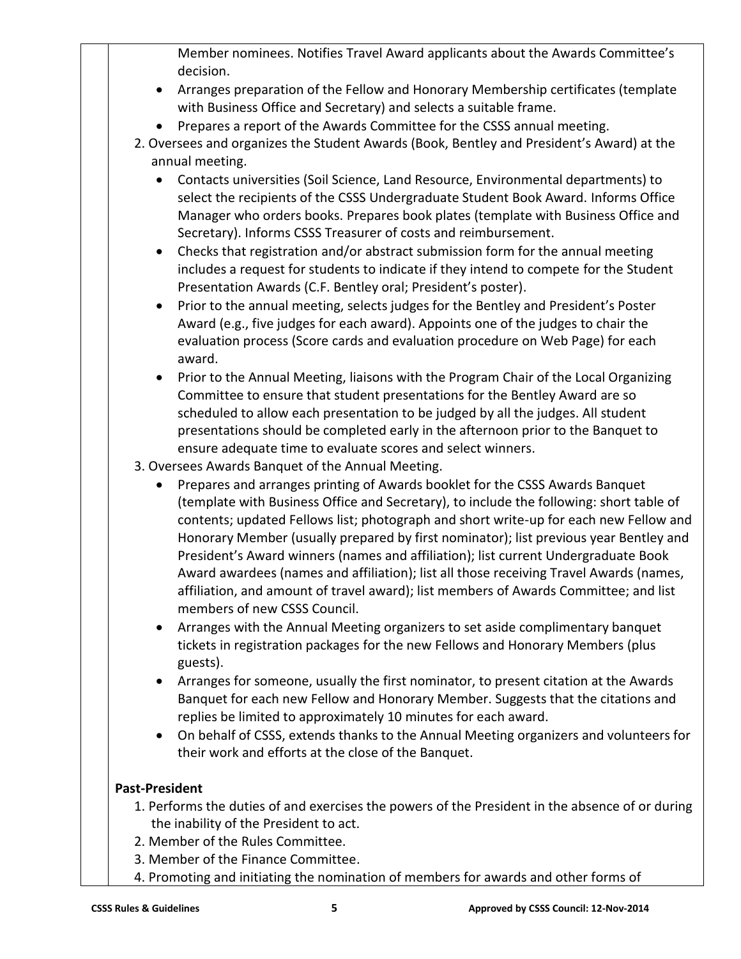Member nominees. Notifies Travel Award applicants about the Awards Committee's decision.

- Arranges preparation of the Fellow and Honorary Membership certificates (template with Business Office and Secretary) and selects a suitable frame.
- Prepares a report of the Awards Committee for the CSSS annual meeting.
- 2. Oversees and organizes the Student Awards (Book, Bentley and President's Award) at the annual meeting.
	- Contacts universities (Soil Science, Land Resource, Environmental departments) to select the recipients of the CSSS Undergraduate Student Book Award. Informs Office Manager who orders books. Prepares book plates (template with Business Office and Secretary). Informs CSSS Treasurer of costs and reimbursement.
	- Checks that registration and/or abstract submission form for the annual meeting includes a request for students to indicate if they intend to compete for the Student Presentation Awards (C.F. Bentley oral; President's poster).
	- Prior to the annual meeting, selects judges for the Bentley and President's Poster Award (e.g., five judges for each award). Appoints one of the judges to chair the evaluation process (Score cards and evaluation procedure on Web Page) for each award.
	- Prior to the Annual Meeting, liaisons with the Program Chair of the Local Organizing Committee to ensure that student presentations for the Bentley Award are so scheduled to allow each presentation to be judged by all the judges. All student presentations should be completed early in the afternoon prior to the Banquet to ensure adequate time to evaluate scores and select winners.
- 3. Oversees Awards Banquet of the Annual Meeting.
	- Prepares and arranges printing of Awards booklet for the CSSS Awards Banquet (template with Business Office and Secretary), to include the following: short table of contents; updated Fellows list; photograph and short write-up for each new Fellow and Honorary Member (usually prepared by first nominator); list previous year Bentley and President's Award winners (names and affiliation); list current Undergraduate Book Award awardees (names and affiliation); list all those receiving Travel Awards (names, affiliation, and amount of travel award); list members of Awards Committee; and list members of new CSSS Council.
	- Arranges with the Annual Meeting organizers to set aside complimentary banquet tickets in registration packages for the new Fellows and Honorary Members (plus guests).
	- Arranges for someone, usually the first nominator, to present citation at the Awards Banquet for each new Fellow and Honorary Member. Suggests that the citations and replies be limited to approximately 10 minutes for each award.
	- On behalf of CSSS, extends thanks to the Annual Meeting organizers and volunteers for their work and efforts at the close of the Banquet.

# **Past-President**

- 1. Performs the duties of and exercises the powers of the President in the absence of or during the inability of the President to act.
- 2. Member of the Rules Committee.
- 3. Member of the Finance Committee.
- 4. Promoting and initiating the nomination of members for awards and other forms of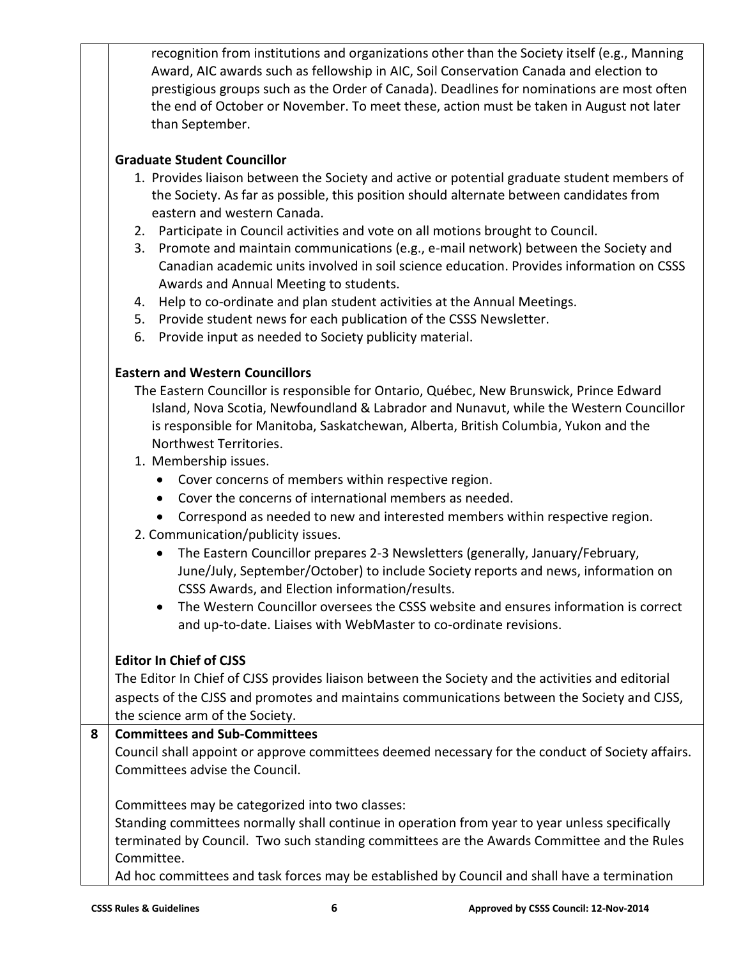recognition from institutions and organizations other than the Society itself (e.g., Manning Award, AIC awards such as fellowship in AIC, Soil Conservation Canada and election to prestigious groups such as the Order of Canada). Deadlines for nominations are most often the end of October or November. To meet these, action must be taken in August not later than September.

#### **Graduate Student Councillor**

- 1. Provides liaison between the Society and active or potential graduate student members of the Society. As far as possible, this position should alternate between candidates from eastern and western Canada.
- 2. Participate in Council activities and vote on all motions brought to Council.
- 3. Promote and maintain communications (e.g., e-mail network) between the Society and Canadian academic units involved in soil science education. Provides information on CSSS Awards and Annual Meeting to students.
- 4. Help to co-ordinate and plan student activities at the Annual Meetings.
- 5. Provide student news for each publication of the CSSS Newsletter.
- 6. Provide input as needed to Society publicity material.

#### **Eastern and Western Councillors**

The Eastern Councillor is responsible for Ontario, Québec, New Brunswick, Prince Edward Island, Nova Scotia, Newfoundland & Labrador and Nunavut, while the Western Councillor is responsible for Manitoba, Saskatchewan, Alberta, British Columbia, Yukon and the Northwest Territories.

- 1. Membership issues.
	- Cover concerns of members within respective region.
	- Cover the concerns of international members as needed.
	- Correspond as needed to new and interested members within respective region.
- 2. Communication/publicity issues.
	- The Eastern Councillor prepares 2-3 Newsletters (generally, January/February, June/July, September/October) to include Society reports and news, information on CSSS Awards, and Election information/results.
	- The Western Councillor oversees the CSSS website and ensures information is correct and up-to-date. Liaises with WebMaster to co-ordinate revisions.

# **Editor In Chief of CJSS**

The Editor In Chief of CJSS provides liaison between the Society and the activities and editorial aspects of the CJSS and promotes and maintains communications between the Society and CJSS, the science arm of the Society.

#### **8 Committees and Sub-Committees**

Council shall appoint or approve committees deemed necessary for the conduct of Society affairs. Committees advise the Council.

Committees may be categorized into two classes:

Standing committees normally shall continue in operation from year to year unless specifically terminated by Council. Two such standing committees are the Awards Committee and the Rules Committee.

Ad hoc committees and task forces may be established by Council and shall have a termination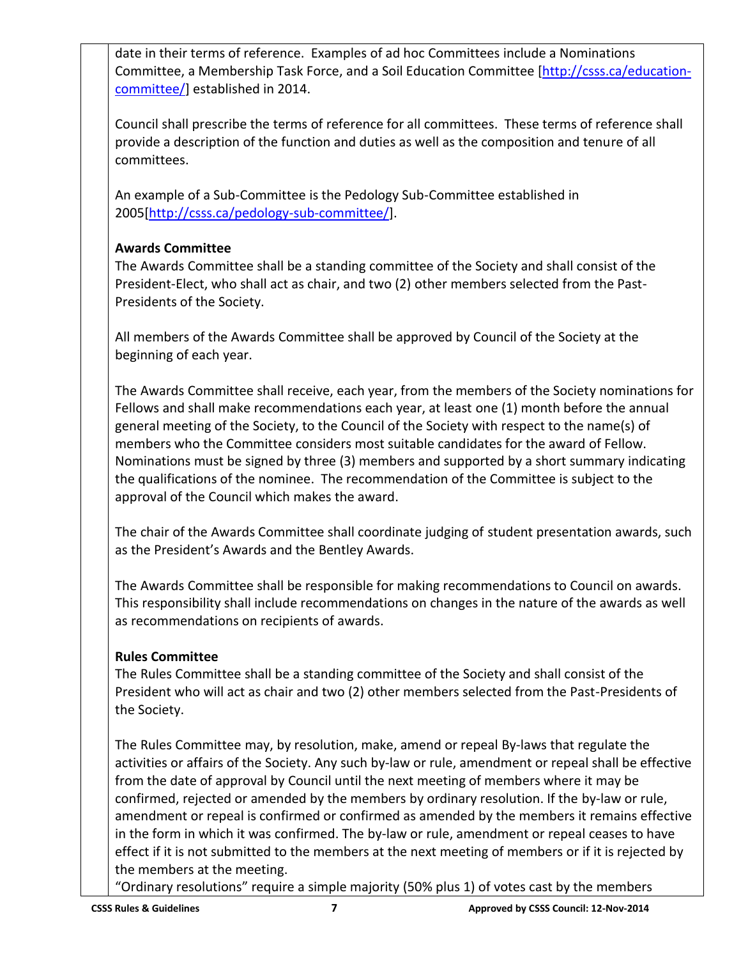date in their terms of reference. Examples of ad hoc Committees include a Nominations Committee, a Membership Task Force, and a Soil Education Committee [\[http://csss.ca/education](http://csss.ca/education-committee/)[committee/\]](http://csss.ca/education-committee/) established in 2014.

Council shall prescribe the terms of reference for all committees. These terms of reference shall provide a description of the function and duties as well as the composition and tenure of all committees.

An example of a Sub-Committee is the Pedology Sub-Committee established in 2005[\[http://csss.ca/pedology-sub-committee/\]](http://csss.ca/pedology-sub-committee/).

# **Awards Committee**

The Awards Committee shall be a standing committee of the Society and shall consist of the President-Elect, who shall act as chair, and two (2) other members selected from the Past-Presidents of the Society.

All members of the Awards Committee shall be approved by Council of the Society at the beginning of each year.

The Awards Committee shall receive, each year, from the members of the Society nominations for Fellows and shall make recommendations each year, at least one (1) month before the annual general meeting of the Society, to the Council of the Society with respect to the name(s) of members who the Committee considers most suitable candidates for the award of Fellow. Nominations must be signed by three (3) members and supported by a short summary indicating the qualifications of the nominee. The recommendation of the Committee is subject to the approval of the Council which makes the award.

The chair of the Awards Committee shall coordinate judging of student presentation awards, such as the President's Awards and the Bentley Awards.

The Awards Committee shall be responsible for making recommendations to Council on awards. This responsibility shall include recommendations on changes in the nature of the awards as well as recommendations on recipients of awards.

# **Rules Committee**

The Rules Committee shall be a standing committee of the Society and shall consist of the President who will act as chair and two (2) other members selected from the Past-Presidents of the Society.

The Rules Committee may, by resolution, make, amend or repeal By-laws that regulate the activities or affairs of the Society. Any such by-law or rule, amendment or repeal shall be effective from the date of approval by Council until the next meeting of members where it may be confirmed, rejected or amended by the members by ordinary resolution. If the by-law or rule, amendment or repeal is confirmed or confirmed as amended by the members it remains effective in the form in which it was confirmed. The by-law or rule, amendment or repeal ceases to have effect if it is not submitted to the members at the next meeting of members or if it is rejected by the members at the meeting.

"Ordinary resolutions" require a simple majority (50% plus 1) of votes cast by the members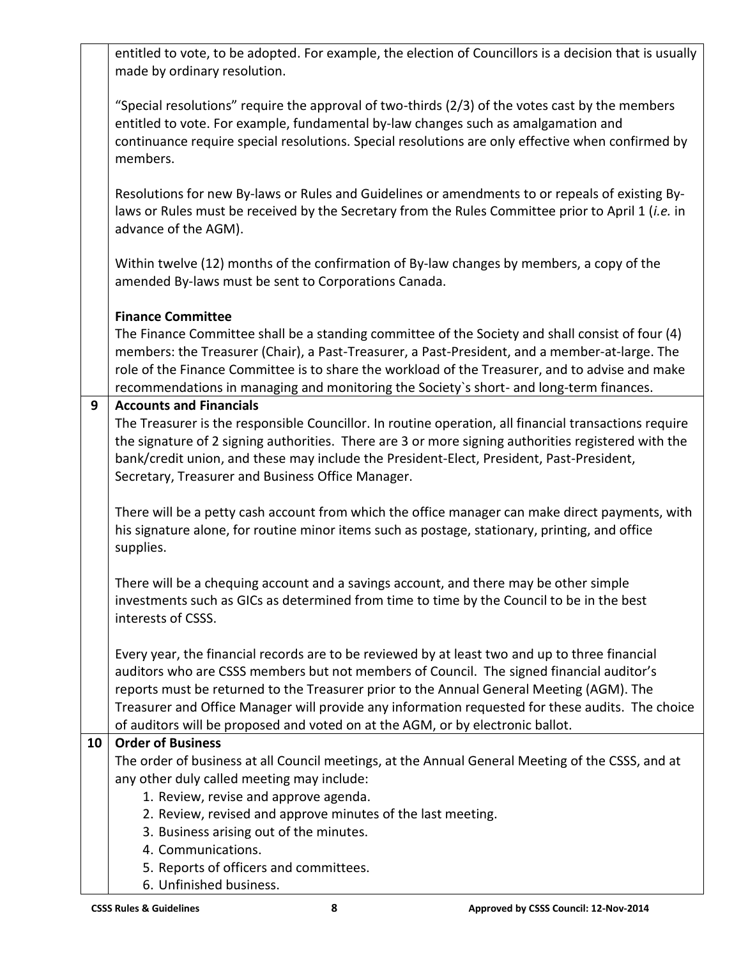|    | entitled to vote, to be adopted. For example, the election of Councillors is a decision that is usually<br>made by ordinary resolution.                                                                                                                                                                                                                                                          |
|----|--------------------------------------------------------------------------------------------------------------------------------------------------------------------------------------------------------------------------------------------------------------------------------------------------------------------------------------------------------------------------------------------------|
|    | "Special resolutions" require the approval of two-thirds (2/3) of the votes cast by the members<br>entitled to vote. For example, fundamental by-law changes such as amalgamation and<br>continuance require special resolutions. Special resolutions are only effective when confirmed by<br>members.                                                                                           |
|    | Resolutions for new By-laws or Rules and Guidelines or amendments to or repeals of existing By-<br>laws or Rules must be received by the Secretary from the Rules Committee prior to April 1 (i.e. in<br>advance of the AGM).                                                                                                                                                                    |
|    | Within twelve (12) months of the confirmation of By-law changes by members, a copy of the<br>amended By-laws must be sent to Corporations Canada.                                                                                                                                                                                                                                                |
|    | <b>Finance Committee</b>                                                                                                                                                                                                                                                                                                                                                                         |
|    | The Finance Committee shall be a standing committee of the Society and shall consist of four (4)<br>members: the Treasurer (Chair), a Past-Treasurer, a Past-President, and a member-at-large. The<br>role of the Finance Committee is to share the workload of the Treasurer, and to advise and make<br>recommendations in managing and monitoring the Society's short- and long-term finances. |
| 9  | <b>Accounts and Financials</b>                                                                                                                                                                                                                                                                                                                                                                   |
|    | The Treasurer is the responsible Councillor. In routine operation, all financial transactions require                                                                                                                                                                                                                                                                                            |
|    | the signature of 2 signing authorities. There are 3 or more signing authorities registered with the<br>bank/credit union, and these may include the President-Elect, President, Past-President,<br>Secretary, Treasurer and Business Office Manager.                                                                                                                                             |
|    | There will be a petty cash account from which the office manager can make direct payments, with<br>his signature alone, for routine minor items such as postage, stationary, printing, and office<br>supplies.                                                                                                                                                                                   |
|    | There will be a chequing account and a savings account, and there may be other simple<br>investments such as GICs as determined from time to time by the Council to be in the best<br>interests of CSSS.                                                                                                                                                                                         |
|    | Every year, the financial records are to be reviewed by at least two and up to three financial<br>auditors who are CSSS members but not members of Council. The signed financial auditor's<br>reports must be returned to the Treasurer prior to the Annual General Meeting (AGM). The                                                                                                           |
|    | Treasurer and Office Manager will provide any information requested for these audits. The choice                                                                                                                                                                                                                                                                                                 |
|    | of auditors will be proposed and voted on at the AGM, or by electronic ballot.                                                                                                                                                                                                                                                                                                                   |
| 10 | <b>Order of Business</b>                                                                                                                                                                                                                                                                                                                                                                         |
|    | The order of business at all Council meetings, at the Annual General Meeting of the CSSS, and at                                                                                                                                                                                                                                                                                                 |
|    | any other duly called meeting may include:                                                                                                                                                                                                                                                                                                                                                       |
|    | 1. Review, revise and approve agenda.                                                                                                                                                                                                                                                                                                                                                            |
|    | 2. Review, revised and approve minutes of the last meeting.                                                                                                                                                                                                                                                                                                                                      |
|    | 3. Business arising out of the minutes.                                                                                                                                                                                                                                                                                                                                                          |
|    | 4. Communications.                                                                                                                                                                                                                                                                                                                                                                               |
|    | 5. Reports of officers and committees.                                                                                                                                                                                                                                                                                                                                                           |
|    | 6. Unfinished business.                                                                                                                                                                                                                                                                                                                                                                          |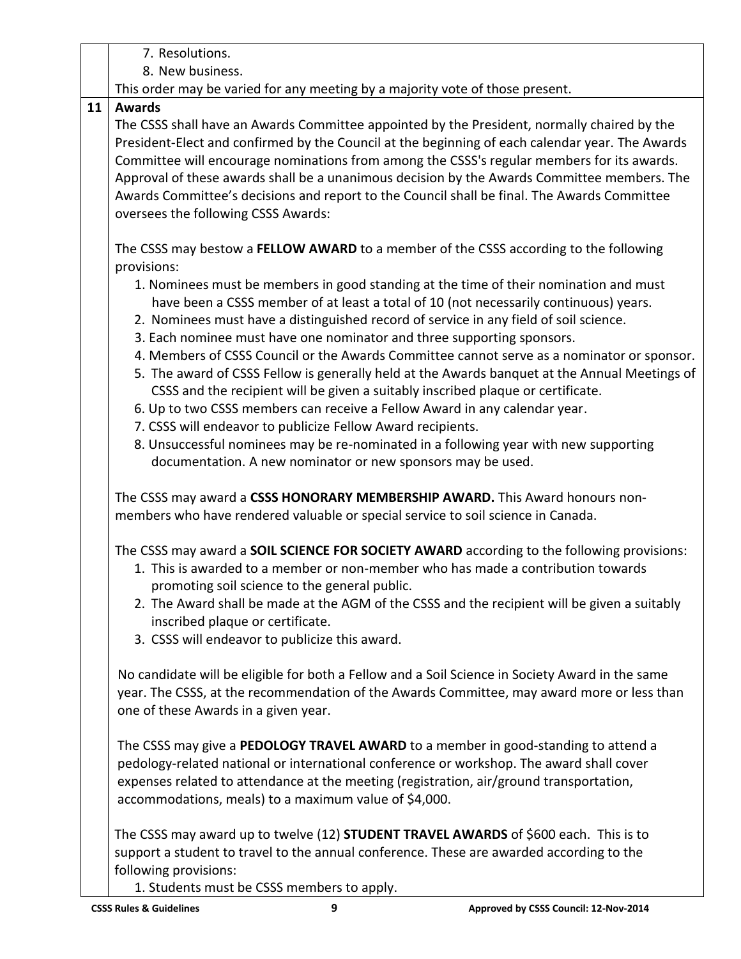|    | 7. Resolutions.                                                                                                                                                                                                                                                                                                                                                                                                                                                                                                                                                                                                                                               |
|----|---------------------------------------------------------------------------------------------------------------------------------------------------------------------------------------------------------------------------------------------------------------------------------------------------------------------------------------------------------------------------------------------------------------------------------------------------------------------------------------------------------------------------------------------------------------------------------------------------------------------------------------------------------------|
|    | 8. New business.                                                                                                                                                                                                                                                                                                                                                                                                                                                                                                                                                                                                                                              |
|    | This order may be varied for any meeting by a majority vote of those present.                                                                                                                                                                                                                                                                                                                                                                                                                                                                                                                                                                                 |
| 11 | <b>Awards</b><br>The CSSS shall have an Awards Committee appointed by the President, normally chaired by the<br>President-Elect and confirmed by the Council at the beginning of each calendar year. The Awards<br>Committee will encourage nominations from among the CSSS's regular members for its awards.<br>Approval of these awards shall be a unanimous decision by the Awards Committee members. The<br>Awards Committee's decisions and report to the Council shall be final. The Awards Committee<br>oversees the following CSSS Awards:                                                                                                            |
|    | The CSSS may bestow a FELLOW AWARD to a member of the CSSS according to the following<br>provisions:<br>1. Nominees must be members in good standing at the time of their nomination and must<br>have been a CSSS member of at least a total of 10 (not necessarily continuous) years.<br>2. Nominees must have a distinguished record of service in any field of soil science.                                                                                                                                                                                                                                                                               |
|    | 3. Each nominee must have one nominator and three supporting sponsors.<br>4. Members of CSSS Council or the Awards Committee cannot serve as a nominator or sponsor.<br>5. The award of CSSS Fellow is generally held at the Awards banquet at the Annual Meetings of<br>CSSS and the recipient will be given a suitably inscribed plaque or certificate.<br>6. Up to two CSSS members can receive a Fellow Award in any calendar year.<br>7. CSSS will endeavor to publicize Fellow Award recipients.<br>8. Unsuccessful nominees may be re-nominated in a following year with new supporting<br>documentation. A new nominator or new sponsors may be used. |
|    | The CSSS may award a CSSS HONORARY MEMBERSHIP AWARD. This Award honours non-<br>members who have rendered valuable or special service to soil science in Canada.                                                                                                                                                                                                                                                                                                                                                                                                                                                                                              |
|    | The CSSS may award a SOIL SCIENCE FOR SOCIETY AWARD according to the following provisions:<br>1. This is awarded to a member or non-member who has made a contribution towards<br>promoting soil science to the general public.<br>2. The Award shall be made at the AGM of the CSSS and the recipient will be given a suitably<br>inscribed plaque or certificate.<br>3. CSSS will endeavor to publicize this award.                                                                                                                                                                                                                                         |
|    | No candidate will be eligible for both a Fellow and a Soil Science in Society Award in the same<br>year. The CSSS, at the recommendation of the Awards Committee, may award more or less than<br>one of these Awards in a given year.                                                                                                                                                                                                                                                                                                                                                                                                                         |
|    | The CSSS may give a PEDOLOGY TRAVEL AWARD to a member in good-standing to attend a<br>pedology-related national or international conference or workshop. The award shall cover<br>expenses related to attendance at the meeting (registration, air/ground transportation,<br>accommodations, meals) to a maximum value of \$4,000.                                                                                                                                                                                                                                                                                                                            |
|    | The CSSS may award up to twelve (12) <b>STUDENT TRAVEL AWARDS</b> of \$600 each. This is to<br>support a student to travel to the annual conference. These are awarded according to the<br>following provisions:                                                                                                                                                                                                                                                                                                                                                                                                                                              |

1. Students must be CSSS members to apply.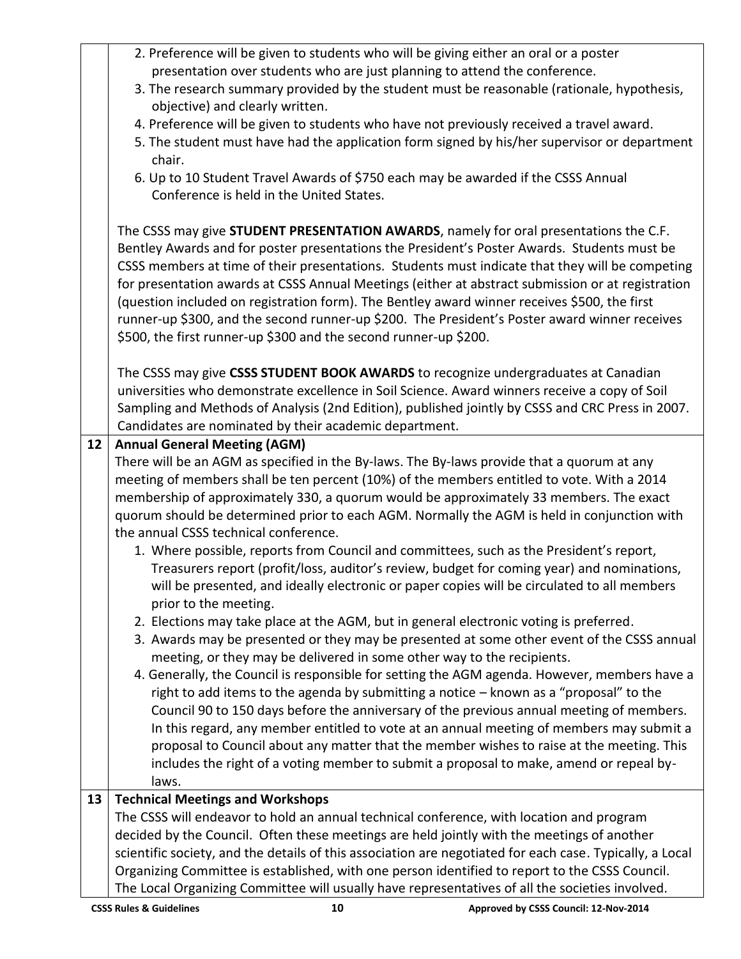|    | 2. Preference will be given to students who will be giving either an oral or a poster                                                                                                             |
|----|---------------------------------------------------------------------------------------------------------------------------------------------------------------------------------------------------|
|    | presentation over students who are just planning to attend the conference.                                                                                                                        |
|    | 3. The research summary provided by the student must be reasonable (rationale, hypothesis,                                                                                                        |
|    | objective) and clearly written.                                                                                                                                                                   |
|    | 4. Preference will be given to students who have not previously received a travel award.                                                                                                          |
|    | 5. The student must have had the application form signed by his/her supervisor or department                                                                                                      |
|    | chair.                                                                                                                                                                                            |
|    | 6. Up to 10 Student Travel Awards of \$750 each may be awarded if the CSSS Annual                                                                                                                 |
|    | Conference is held in the United States.                                                                                                                                                          |
|    |                                                                                                                                                                                                   |
|    | The CSSS may give STUDENT PRESENTATION AWARDS, namely for oral presentations the C.F.                                                                                                             |
|    | Bentley Awards and for poster presentations the President's Poster Awards. Students must be                                                                                                       |
|    | CSSS members at time of their presentations. Students must indicate that they will be competing                                                                                                   |
|    | for presentation awards at CSSS Annual Meetings (either at abstract submission or at registration                                                                                                 |
|    | (question included on registration form). The Bentley award winner receives \$500, the first                                                                                                      |
|    | runner-up \$300, and the second runner-up \$200. The President's Poster award winner receives                                                                                                     |
|    | \$500, the first runner-up \$300 and the second runner-up \$200.                                                                                                                                  |
|    |                                                                                                                                                                                                   |
|    | The CSSS may give CSSS STUDENT BOOK AWARDS to recognize undergraduates at Canadian                                                                                                                |
|    | universities who demonstrate excellence in Soil Science. Award winners receive a copy of Soil                                                                                                     |
|    | Sampling and Methods of Analysis (2nd Edition), published jointly by CSSS and CRC Press in 2007.                                                                                                  |
|    | Candidates are nominated by their academic department.                                                                                                                                            |
| 12 | <b>Annual General Meeting (AGM)</b>                                                                                                                                                               |
|    | There will be an AGM as specified in the By-laws. The By-laws provide that a quorum at any                                                                                                        |
|    | meeting of members shall be ten percent (10%) of the members entitled to vote. With a 2014                                                                                                        |
|    | membership of approximately 330, a quorum would be approximately 33 members. The exact                                                                                                            |
|    | quorum should be determined prior to each AGM. Normally the AGM is held in conjunction with                                                                                                       |
|    | the annual CSSS technical conference.                                                                                                                                                             |
|    | 1. Where possible, reports from Council and committees, such as the President's report,                                                                                                           |
|    | Treasurers report (profit/loss, auditor's review, budget for coming year) and nominations,                                                                                                        |
|    | will be presented, and ideally electronic or paper copies will be circulated to all members                                                                                                       |
|    | prior to the meeting.                                                                                                                                                                             |
|    | 2. Elections may take place at the AGM, but in general electronic voting is preferred.                                                                                                            |
|    | 3. Awards may be presented or they may be presented at some other event of the CSSS annual                                                                                                        |
|    |                                                                                                                                                                                                   |
|    | meeting, or they may be delivered in some other way to the recipients.<br>4. Generally, the Council is responsible for setting the AGM agenda. However, members have a                            |
|    |                                                                                                                                                                                                   |
|    | right to add items to the agenda by submitting a notice - known as a "proposal" to the                                                                                                            |
|    | Council 90 to 150 days before the anniversary of the previous annual meeting of members.                                                                                                          |
|    | In this regard, any member entitled to vote at an annual meeting of members may submit a                                                                                                          |
|    | proposal to Council about any matter that the member wishes to raise at the meeting. This                                                                                                         |
|    |                                                                                                                                                                                                   |
|    | includes the right of a voting member to submit a proposal to make, amend or repeal by-                                                                                                           |
|    | laws.                                                                                                                                                                                             |
| 13 | <b>Technical Meetings and Workshops</b>                                                                                                                                                           |
|    | The CSSS will endeavor to hold an annual technical conference, with location and program                                                                                                          |
|    | decided by the Council. Often these meetings are held jointly with the meetings of another                                                                                                        |
|    | scientific society, and the details of this association are negotiated for each case. Typically, a Local                                                                                          |
|    | Organizing Committee is established, with one person identified to report to the CSSS Council.<br>The Local Organizing Committee will usually have representatives of all the societies involved. |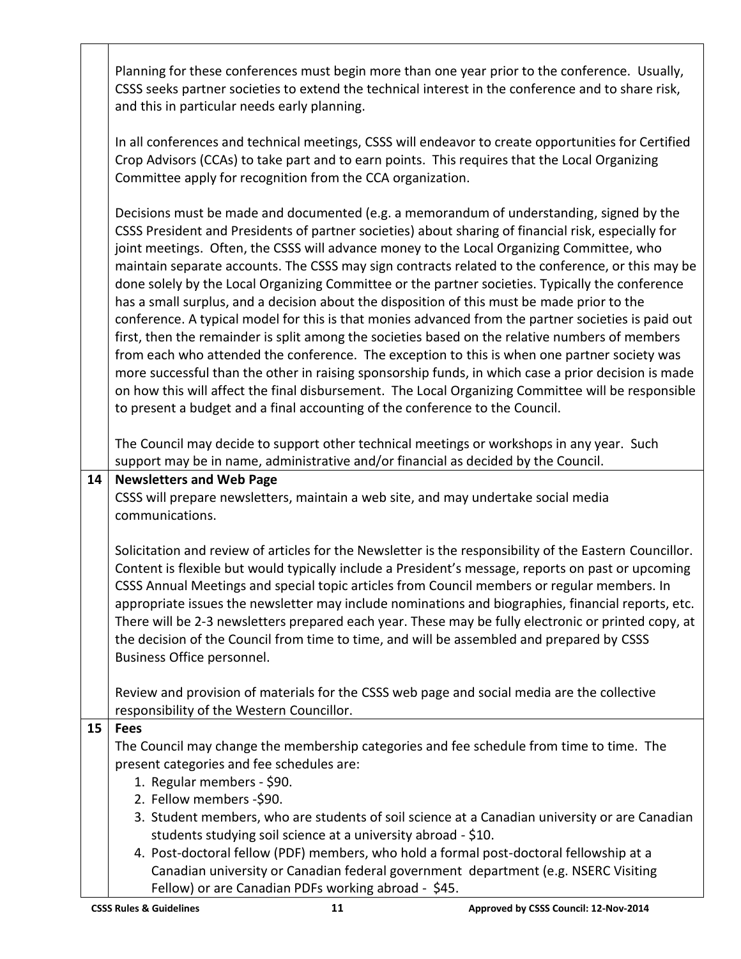Planning for these conferences must begin more than one year prior to the conference. Usually, CSSS seeks partner societies to extend the technical interest in the conference and to share risk, and this in particular needs early planning.

In all conferences and technical meetings, CSSS will endeavor to create opportunities for Certified Crop Advisors (CCAs) to take part and to earn points. This requires that the Local Organizing Committee apply for recognition from the CCA organization.

Decisions must be made and documented (e.g. a memorandum of understanding, signed by the CSSS President and Presidents of partner societies) about sharing of financial risk, especially for joint meetings. Often, the CSSS will advance money to the Local Organizing Committee, who maintain separate accounts. The CSSS may sign contracts related to the conference, or this may be done solely by the Local Organizing Committee or the partner societies. Typically the conference has a small surplus, and a decision about the disposition of this must be made prior to the conference. A typical model for this is that monies advanced from the partner societies is paid out first, then the remainder is split among the societies based on the relative numbers of members from each who attended the conference. The exception to this is when one partner society was more successful than the other in raising sponsorship funds, in which case a prior decision is made on how this will affect the final disbursement. The Local Organizing Committee will be responsible to present a budget and a final accounting of the conference to the Council.

The Council may decide to support other technical meetings or workshops in any year. Such support may be in name, administrative and/or financial as decided by the Council.

#### **14 Newsletters and Web Page**

CSSS will prepare newsletters, maintain a web site, and may undertake social media communications.

Solicitation and review of articles for the Newsletter is the responsibility of the Eastern Councillor. Content is flexible but would typically include a President's message, reports on past or upcoming CSSS Annual Meetings and special topic articles from Council members or regular members. In appropriate issues the newsletter may include nominations and biographies, financial reports, etc. There will be 2-3 newsletters prepared each year. These may be fully electronic or printed copy, at the decision of the Council from time to time, and will be assembled and prepared by CSSS Business Office personnel.

Review and provision of materials for the CSSS web page and social media are the collective responsibility of the Western Councillor.

# **15 Fees**

The Council may change the membership categories and fee schedule from time to time. The present categories and fee schedules are:

- 1. Regular members \$90.
- 2. Fellow members -\$90.
- 3. Student members, who are students of soil science at a Canadian university or are Canadian students studying soil science at a university abroad - \$10.
- 4. Post-doctoral fellow (PDF) members, who hold a formal post-doctoral fellowship at a Canadian university or Canadian federal government department (e.g. NSERC Visiting Fellow) or are Canadian PDFs working abroad - \$45.